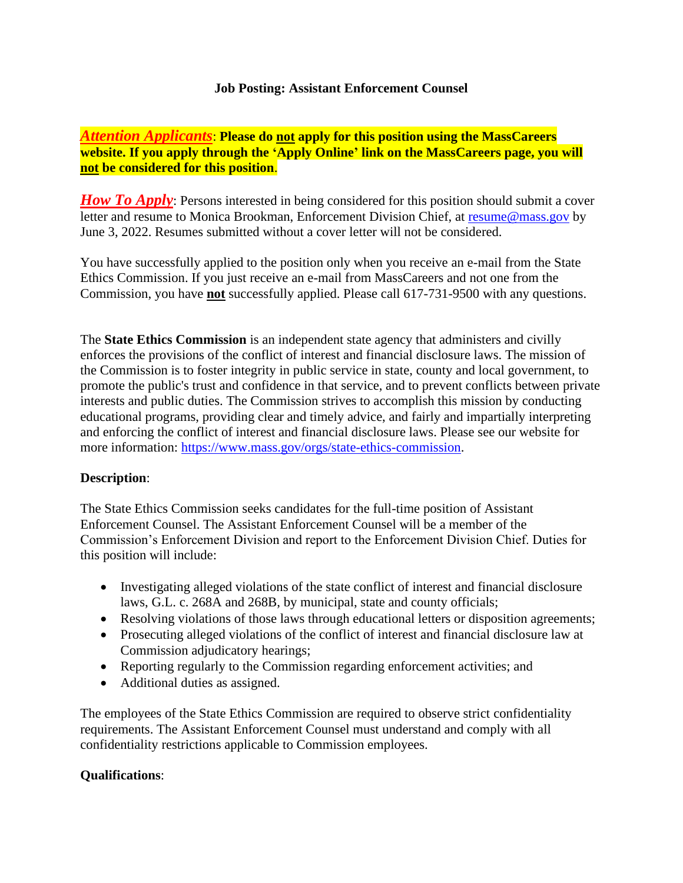### **Job Posting: Assistant Enforcement Counsel**

*Attention Applicants*: **Please do not apply for this position using the MassCareers website. If you apply through the 'Apply Online' link on the MassCareers page, you will not be considered for this position**.

*How To Apply*: Persons interested in being considered for this position should submit a cover letter and resume to Monica Brookman, Enforcement Division Chief, at [resume@mass.gov](mailto:resume@mass.gov) by June 3, 2022. Resumes submitted without a cover letter will not be considered.

You have successfully applied to the position only when you receive an e-mail from the State Ethics Commission. If you just receive an e-mail from MassCareers and not one from the Commission, you have **not** successfully applied. Please call 617-731-9500 with any questions.

The **State Ethics Commission** is an independent state agency that administers and civilly enforces the provisions of the conflict of interest and financial disclosure laws. The mission of the Commission is to foster integrity in public service in state, county and local government, to promote the public's trust and confidence in that service, and to prevent conflicts between private interests and public duties. The Commission strives to accomplish this mission by conducting educational programs, providing clear and timely advice, and fairly and impartially interpreting and enforcing the conflict of interest and financial disclosure laws. Please see our website for more information: [https://www.mass.gov/orgs/state-ethics-commission.](https://www.mass.gov/orgs/state-ethics-commission)

# **Description**:

The State Ethics Commission seeks candidates for the full-time position of Assistant Enforcement Counsel. The Assistant Enforcement Counsel will be a member of the Commission's Enforcement Division and report to the Enforcement Division Chief. Duties for this position will include:

- Investigating alleged violations of the state conflict of interest and financial disclosure laws, G.L. c. 268A and 268B, by municipal, state and county officials;
- Resolving violations of those laws through educational letters or disposition agreements;
- Prosecuting alleged violations of the conflict of interest and financial disclosure law at Commission adjudicatory hearings;
- Reporting regularly to the Commission regarding enforcement activities; and
- Additional duties as assigned.

The employees of the State Ethics Commission are required to observe strict confidentiality requirements. The Assistant Enforcement Counsel must understand and comply with all confidentiality restrictions applicable to Commission employees.

# **Qualifications**: